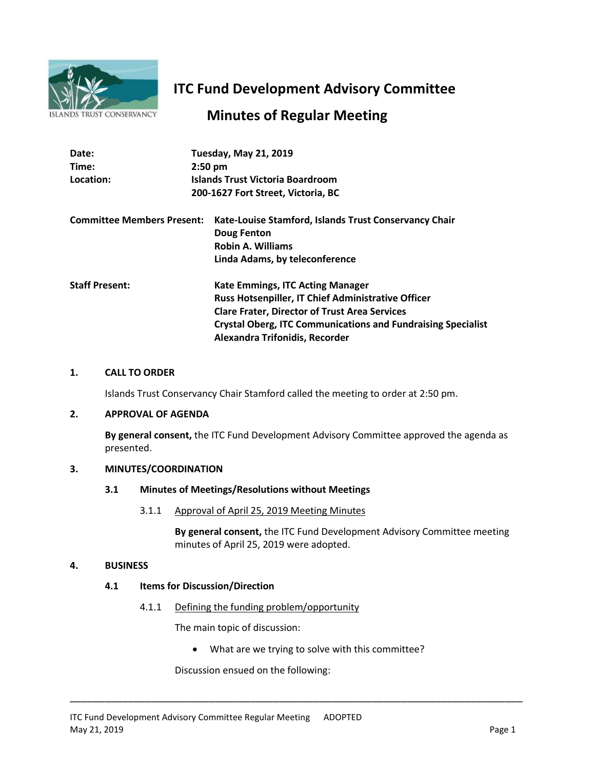

# **ITC Fund Development Advisory Committee**

## **Minutes of Regular Meeting**

| Date:                             | <b>Tuesday, May 21, 2019</b>                                        |
|-----------------------------------|---------------------------------------------------------------------|
| Time:                             | $2:50$ pm                                                           |
| Location:                         | Islands Trust Victoria Boardroom                                    |
|                                   | 200-1627 Fort Street, Victoria, BC                                  |
| <b>Committee Members Present:</b> | Kate-Louise Stamford, Islands Trust Conservancy Chair               |
|                                   | Doug Fenton                                                         |
|                                   | <b>Robin A. Williams</b>                                            |
|                                   | Linda Adams, by teleconference                                      |
| <b>Staff Present:</b>             | <b>Kate Emmings, ITC Acting Manager</b>                             |
|                                   | <b>Russ Hotsenpiller, IT Chief Administrative Officer</b>           |
|                                   | <b>Clare Frater, Director of Trust Area Services</b>                |
|                                   | <b>Crystal Oberg, ITC Communications and Fundraising Specialist</b> |
|                                   | Alexandra Trifonidis, Recorder                                      |

#### **1. CALL TO ORDER**

Islands Trust Conservancy Chair Stamford called the meeting to order at 2:50 pm.

#### **2. APPROVAL OF AGENDA**

**By general consent,** the ITC Fund Development Advisory Committee approved the agenda as presented.

#### **3. MINUTES/COORDINATION**

### **3.1 Minutes of Meetings/Resolutions without Meetings**

3.1.1 Approval of April 25, 2019 Meeting Minutes

**By general consent,** the ITC Fund Development Advisory Committee meeting minutes of April 25, 2019 were adopted.

#### **4. BUSINESS**

#### **4.1 Items for Discussion/Direction**

4.1.1 Defining the funding problem/opportunity

The main topic of discussion:

What are we trying to solve with this committee?

\_\_\_\_\_\_\_\_\_\_\_\_\_\_\_\_\_\_\_\_\_\_\_\_\_\_\_\_\_\_\_\_\_\_\_\_\_\_\_\_\_\_\_\_\_\_\_\_\_\_\_\_\_\_\_\_\_\_\_\_\_\_\_\_\_\_\_\_\_\_\_\_\_\_\_\_\_\_

Discussion ensued on the following: